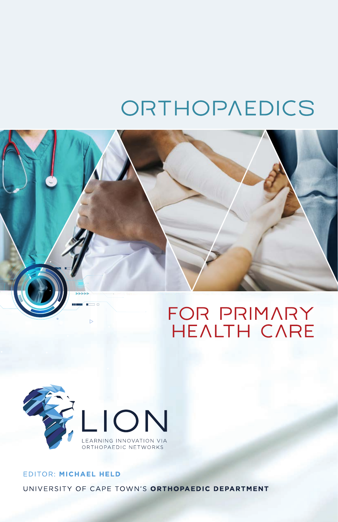# ORTHOPAEDICS





# EDITOR: MICHAEL HELD UNIVERSITY OF CAPE TOWN'S ORTHOPAEDIC DEPARTMENT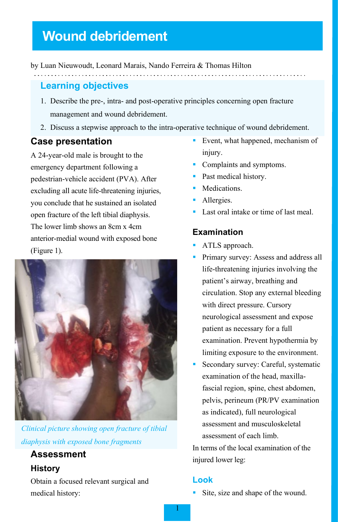# **Wound debridement**

by Luan Nieuwoudt, Leonard Marais, Nando Ferreira & Thomas Hilton

# **Learning objectives**

1. Describe the pre-, intra- and post-operative principles concerning open fracture management and wound debridement.

2. Discuss a stepwise approach to the intra-operative technique of wound debridement.

#### **Case presentation**

A 24-year-old male is brought to the emergency department following a pedestrian-vehicle accident (PVA). After excluding all acute life-threatening injuries, you conclude that he sustained an isolated open fracture of the left tibial diaphysis. The lower limb shows an 8cm x 4cm anterior-medial wound with exposed bone (Figure 1).



*Clinical picture showing open fracture of tibial diaphysis with exposed bone fragments*

# **Assessment**

#### **History**

Obtain a focused relevant surgical and medical history:

- Event, what happened, mechanism of injury.
- **Complaints and symptoms.**
- Past medical history.
- **Medications.**
- Allergies.
- Last oral intake or time of last meal.

#### **Examination**

- **ATLS** approach.
- Primary survey: Assess and address all life-threatening injuries involving the patient's airway, breathing and circulation. Stop any external bleeding with direct pressure. Cursory neurological assessment and expose patient as necessary for a full examination. Prevent hypothermia by limiting exposure to the environment.
- Secondary survey: Careful, systematic examination of the head, maxillafascial region, spine, chest abdomen, pelvis, perineum (PR/PV examination as indicated), full neurological assessment and musculoskeletal assessment of each limb.

In terms of the local examination of the injured lower leg:

### **Look**

Site, size and shape of the wound.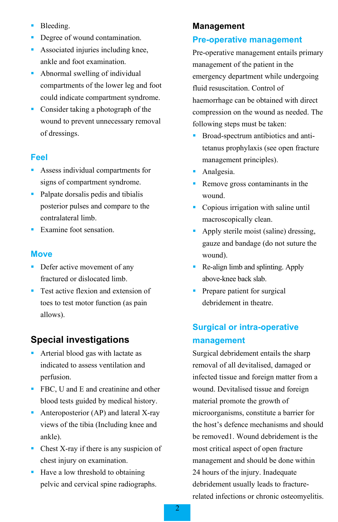- **Bleeding.**
- Degree of wound contamination.
- **Associated injuries including knee,** ankle and foot examination.
- Abnormal swelling of individual compartments of the lower leg and foot could indicate compartment syndrome.
- Consider taking a photograph of the wound to prevent unnecessary removal of dressings.

#### **Feel**

- Assess individual compartments for signs of compartment syndrome.
- Palpate dorsalis pedis and tibialis posterior pulses and compare to the contralateral limb.
- Examine foot sensation.

#### **Move**

- **Defer active movement of any** fractured or dislocated limb.
- **Test active flexion and extension of** toes to test motor function (as pain allows).

# **Special investigations**

- **Arterial blood gas with lactate as** indicated to assess ventilation and perfusion.
- **FBC**, U and E and creatinine and other blood tests guided by medical history.
- Anteroposterior (AP) and lateral X-ray views of the tibia (Including knee and ankle).
- Chest X-ray if there is any suspicion of chest injury on examination.
- Have a low threshold to obtaining pelvic and cervical spine radiographs.

#### **Management**

#### **Pre-operative management**

Pre-operative management entails primary management of the patient in the emergency department while undergoing fluid resuscitation. Control of haemorrhage can be obtained with direct compression on the wound as needed. The following steps must be taken:

- Broad-spectrum antibiotics and antitetanus prophylaxis (see open fracture management principles).
- **Analgesia.**
- Remove gross contaminants in the wound.
- Copious irrigation with saline until macroscopically clean.
- Apply sterile moist (saline) dressing, gauze and bandage (do not suture the wound).
- Re-align limb and splinting. Apply above-knee back slab.
- Prepare patient for surgical debridement in theatre.

# **Surgical or intra-operative management**

Surgical debridement entails the sharp removal of all devitalised, damaged or infected tissue and foreign matter from a wound. Devitalised tissue and foreign material promote the growth of microorganisms, constitute a barrier for the host's defence mechanisms and should be removed1. Wound debridement is the most critical aspect of open fracture management and should be done within 24 hours of the injury. Inadequate debridement usually leads to fracturerelated infections or chronic osteomyelitis.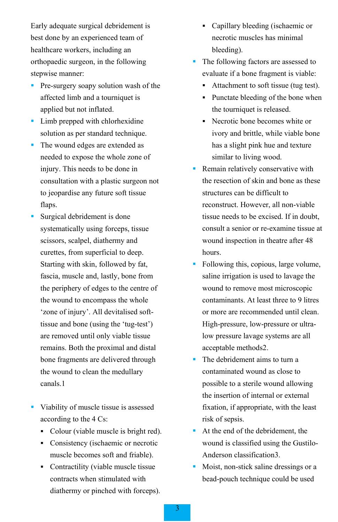Early adequate surgical debridement is best done by an experienced team of healthcare workers, including an orthopaedic surgeon, in the following stepwise manner:

- **Pre-surgery soapy solution wash of the** affected limb and a tourniquet is applied but not inflated.
- **Limb prepped with chlorhexidine** solution as per standard technique.
- The wound edges are extended as needed to expose the whole zone of injury. This needs to be done in consultation with a plastic surgeon not to jeopardise any future soft tissue flaps.
- Surgical debridement is done systematically using forceps, tissue scissors, scalpel, diathermy and curettes, from superficial to deep. Starting with skin, followed by fat, fascia, muscle and, lastly, bone from the periphery of edges to the centre of the wound to encompass the whole 'zone of injury'. All devitalised softtissue and bone (using the 'tug-test') are removed until only viable tissue remains. Both the proximal and distal bone fragments are delivered through the wound to clean the medullary canals.1
- Viability of muscle tissue is assessed according to the 4 Cs:
	- Colour (viable muscle is bright red).
	- Consistency (ischaemic or necrotic muscle becomes soft and friable).
	- Contractility (viable muscle tissue contracts when stimulated with diathermy or pinched with forceps).
- Capillary bleeding (ischaemic or necrotic muscles has minimal bleeding).
- The following factors are assessed to evaluate if a bone fragment is viable:
	- Attachment to soft tissue (tug test).
	- Punctate bleeding of the bone when the tourniquet is released.
	- Necrotic bone becomes white or ivory and brittle, while viable bone has a slight pink hue and texture similar to living wood.
- **Remain relatively conservative with** the resection of skin and bone as these structures can be difficult to reconstruct. However, all non-viable tissue needs to be excised. If in doubt, consult a senior or re-examine tissue at wound inspection in theatre after 48 hours.
- Following this, copious, large volume, saline irrigation is used to lavage the wound to remove most microscopic contaminants. At least three to 9 litres or more are recommended until clean. High-pressure, low-pressure or ultralow pressure lavage systems are all acceptable methods2.
- The debridement aims to turn a contaminated wound as close to possible to a sterile wound allowing the insertion of internal or external fixation, if appropriate, with the least risk of sepsis.
- At the end of the debridement, the wound is classified using the Gustilo-Anderson classification3.
- Moist, non-stick saline dressings or a bead-pouch technique could be used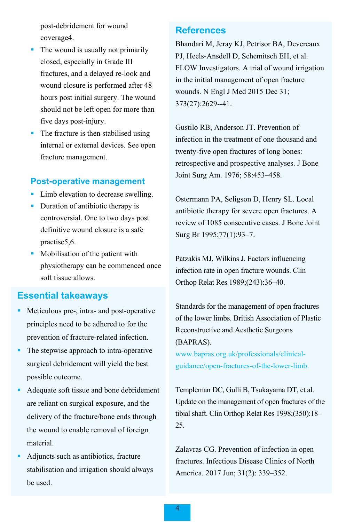post-debridement for wound coverage4.

- $\blacksquare$  The wound is usually not primarily closed, especially in Grade III fractures, and a delayed re-look and wound closure is performed after 48 hours post initial surgery. The wound should not be left open for more than five days post-injury.
- The fracture is then stabilised using internal or external devices. See open fracture management.

#### **Post-operative management**

- Limb elevation to decrease swelling.
- Duration of antibiotic therapy is controversial. One to two days post definitive wound closure is a safe practise5,6.
- Mobilisation of the patient with physiotherapy can be commenced once soft tissue allows.

## **Essential takeaways**

- Meticulous pre-, intra- and post-operative principles need to be adhered to for the prevention of fracture-related infection.
- The stepwise approach to intra-operative surgical debridement will yield the best possible outcome.
- Adequate soft tissue and bone debridement are reliant on surgical exposure, and the delivery of the fracture/bone ends through the wound to enable removal of foreign material.
- Adjuncts such as antibiotics, fracture stabilisation and irrigation should always be used.

#### **References**

[Bhandari M,](https://www.ncbi.nlm.nih.gov/pubmed/?term=Bhandari%20M%5BAuthor%5D&cauthor=true&cauthor_uid=26448371) [Jeray KJ,](https://www.ncbi.nlm.nih.gov/pubmed/?term=Jeray%20KJ%5BAuthor%5D&cauthor=true&cauthor_uid=26448371) [Petrisor BA,](https://www.ncbi.nlm.nih.gov/pubmed/?term=Petrisor%20BA%5BAuthor%5D&cauthor=true&cauthor_uid=26448371) [Devereaux](https://www.ncbi.nlm.nih.gov/pubmed/?term=Devereaux%20PJ%5BAuthor%5D&cauthor=true&cauthor_uid=26448371)  [PJ,](https://www.ncbi.nlm.nih.gov/pubmed/?term=Devereaux%20PJ%5BAuthor%5D&cauthor=true&cauthor_uid=26448371) [Heels-Ansdell D,](https://www.ncbi.nlm.nih.gov/pubmed/?term=Heels-Ansdell%20D%5BAuthor%5D&cauthor=true&cauthor_uid=26448371) [Schemitsch EH,](https://www.ncbi.nlm.nih.gov/pubmed/?term=Schemitsch%20EH%5BAuthor%5D&cauthor=true&cauthor_uid=26448371) et al. [FLOW Investigators.](https://www.ncbi.nlm.nih.gov/pubmed/?term=FLOW%20Investigators%5BCorporate%20Author%5D) A trial of wound irrigation in the initial management of open fracture wounds. [N Engl J Med](https://www.ncbi.nlm.nih.gov/pubmed/26448371) 2015 Dec 31; 373(27):2629--41.

Gustilo RB, Anderson JT. Prevention of infection in the treatment of one thousand and twenty-five open fractures of long bones: retrospective and prospective analyses. J Bone Joint Surg Am. 1976; 58:453–458.

Ostermann PA, Seligson D, Henry SL. Local antibiotic therapy for severe open fractures. A review of 1085 consecutive cases. J Bone Joint Surg Br 1995;77(1):93–7.

Patzakis MJ, Wilkins J. Factors influencing infection rate in open fracture wounds. Clin Orthop Relat Res 1989;(243):36–40.

Standards for the management of open fractures of the lower limbs. British Association of Plastic Reconstructive and Aesthetic Surgeons (BAPRAS).

[www.bapras.org.uk/professionals/clinical](http://www.bapras.org.uk/professionals/clinical-guidance/open-fractures-of-the-lower-limb)[guidance/open-fractures-of-the-lower-limb.](http://www.bapras.org.uk/professionals/clinical-guidance/open-fractures-of-the-lower-limb)

Templeman DC, Gulli B, Tsukayama DT, et al. Update on the management of open fractures of the tibial shaft. Clin Orthop Relat Res 1998;(350):18– 25.

Zalavras CG. [Prevention of infection in open](https://www.qxmd.com/r/28292542)  [fractures.](https://www.qxmd.com/r/28292542) Infectious Disease Clinics of North America. 2017 Jun; 31(2): 339–352.